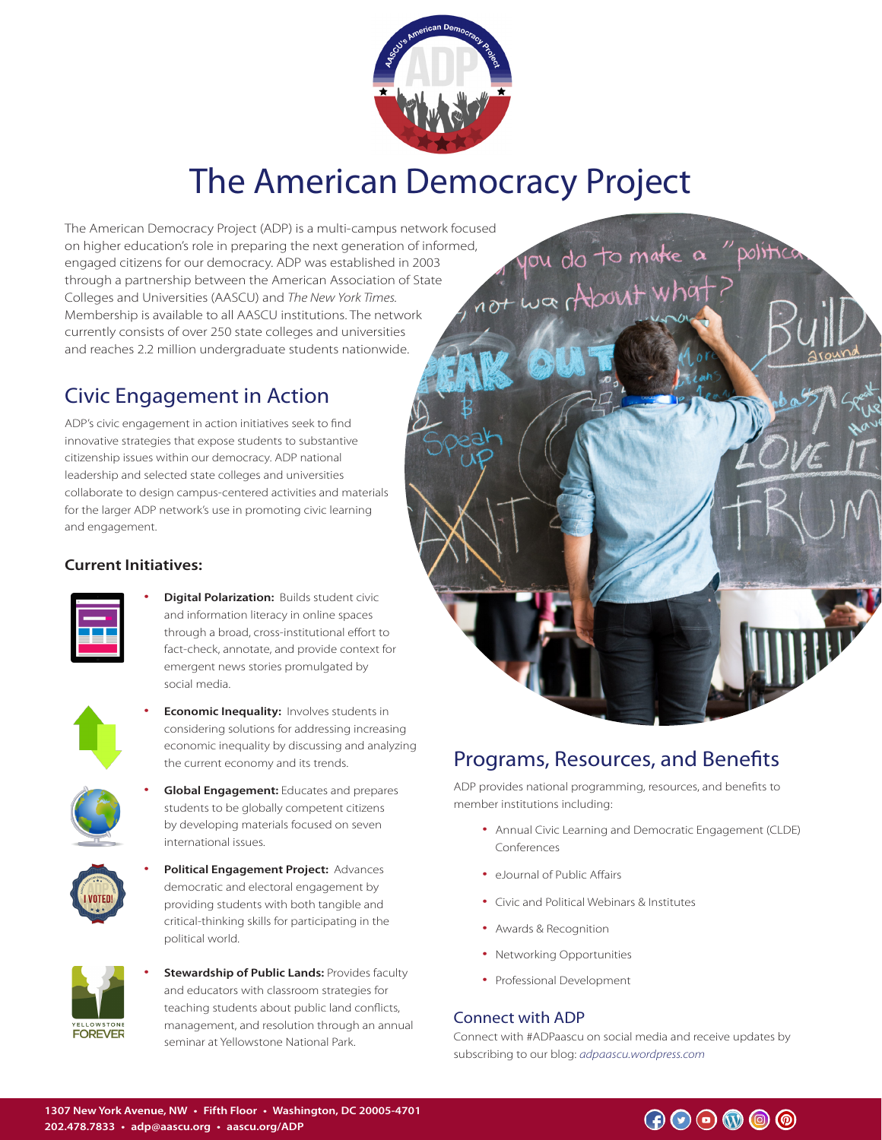

# The American Democracy Project

The American Democracy Project (ADP) is a multi-campus network focused on higher education's role in preparing the next generation of informed, engaged citizens for our democracy. ADP was established in 2003 through a partnership between the American Association of State Colleges and Universities (AASCU) and *The New York Times.*  Membership is available to all AASCU institutions. The network currently consists of over 250 state colleges and universities and reaches 2.2 million undergraduate students nationwide.

## Civic Engagement in Action

ADP's civic engagement in action initiatives seek to find innovative strategies that expose students to substantive citizenship issues within our democracy. ADP national leadership and selected state colleges and universities collaborate to design campus-centered activities and materials for the larger ADP network's use in promoting civic learning and engagement.

### **Current Initiatives:**

• **Digital Polarization:** Builds student civic and information literacy in online spaces through a broad, cross-institutional effort to fact-check, annotate, and provide context for emergent news stories promulgated by social media.



**Economic Inequality:** Involves students in considering solutions for addressing increasing economic inequality by discussing and analyzing the current economy and its trends.



• **Global Engagement:** Educates and prepares students to be globally competent citizens by developing materials focused on seven international issues.



• **Political Engagement Project:** Advances democratic and electoral engagement by providing students with both tangible and critical-thinking skills for participating in the political world.



**Stewardship of Public Lands: Provides faculty** and educators with classroom strategies for teaching students about public land conflicts, management, and resolution through an annual seminar at Yellowstone National Park.



## Programs, Resources, and Benefits

ADP provides national programming, resources, and benefits to member institutions including:

- Annual Civic Learning and Democratic Engagement (CLDE) Conferences
- eJournal of Public Affairs
- Civic and Political Webinars & Institutes
- Awards & Recognition
- Networking Opportunities
- Professional Development

### Connect with ADP

Connect with #ADPaascu on social media and receive updates by subscribing to our blog: *adpaascu.wordpress.com*